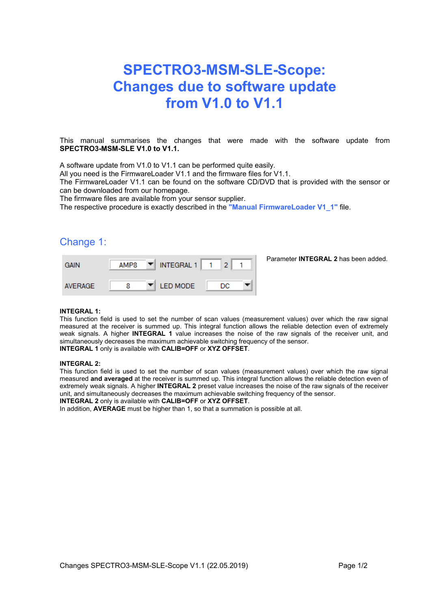# **SPECTRO3-MSM-SLE-Scope: Changes due to software update from V1.0 to V1.1**

This manual summarises the changes that were made with the software update from **SPECTRO3-MSM-SLE V1.0 to V1.1.**

A software update from V1.0 to V1.1 can be performed quite easily.

All you need is the FirmwareLoader V1.1 and the firmware files for V1.1.

The FirmwareLoader V1.1 can be found on the software CD/DVD that is provided with the sensor or can be downloaded from our homepage.

The firmware files are available from your sensor supplier.

The respective procedure is exactly described in the **"Manual FirmwareLoader V1\_1"** file.

### Change 1:

| <b>GAIN</b>    | AMP8 | INTEGRAL 1<br>▼        |    | Parameter <b>INTEGRAL 2</b> has been added. |
|----------------|------|------------------------|----|---------------------------------------------|
| <b>AVERAGE</b> |      | <b>I ED MODE</b><br>▼∥ | DC |                                             |

#### **INTEGRAL 1:**

This function field is used to set the number of scan values (measurement values) over which the raw signal measured at the receiver is summed up. This integral function allows the reliable detection even of extremely weak signals. A higher **INTEGRAL 1** value increases the noise of the raw signals of the receiver unit, and simultaneously decreases the maximum achievable switching frequency of the sensor. **INTEGRAL 1** only is available with **CALIB=OFF** or **XYZ OFFSET**.

#### **INTEGRAL 2:**

This function field is used to set the number of scan values (measurement values) over which the raw signal measured **and averaged** at the receiver is summed up. This integral function allows the reliable detection even of extremely weak signals. A higher **INTEGRAL 2** preset value increases the noise of the raw signals of the receiver unit, and simultaneously decreases the maximum achievable switching frequency of the sensor.

**INTEGRAL 2** only is available with **CALIB=OFF** or **XYZ OFFSET**.

In addition, **AVERAGE** must be higher than 1, so that a summation is possible at all.